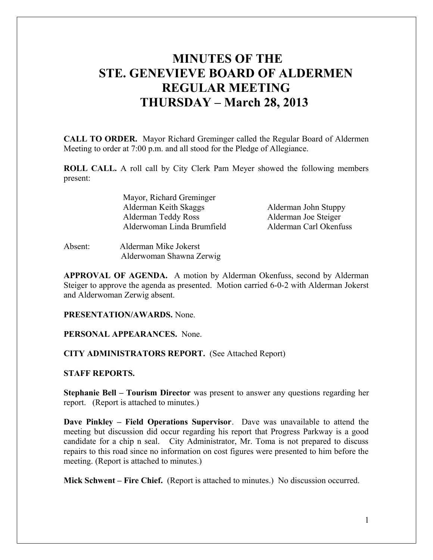# **MINUTES OF THE STE. GENEVIEVE BOARD OF ALDERMEN REGULAR MEETING THURSDAY – March 28, 2013**

**CALL TO ORDER.** Mayor Richard Greminger called the Regular Board of Aldermen Meeting to order at 7:00 p.m. and all stood for the Pledge of Allegiance.

**ROLL CALL.** A roll call by City Clerk Pam Meyer showed the following members present:

> Mayor, Richard Greminger Alderman Keith Skaggs Alderman John Stuppy Alderman Teddy Ross Alderman Joe Steiger Alderwoman Linda Brumfield Alderman Carl Okenfuss

Absent: Alderman Mike Jokerst Alderwoman Shawna Zerwig

**APPROVAL OF AGENDA.** A motion by Alderman Okenfuss, second by Alderman Steiger to approve the agenda as presented. Motion carried 6-0-2 with Alderman Jokerst and Alderwoman Zerwig absent.

**PRESENTATION/AWARDS.** None.

#### **PERSONAL APPEARANCES.** None.

#### **CITY ADMINISTRATORS REPORT.** (See Attached Report)

## **STAFF REPORTS.**

**Stephanie Bell – Tourism Director** was present to answer any questions regarding her report. (Report is attached to minutes.)

**Dave Pinkley – Field Operations Supervisor**. Dave was unavailable to attend the meeting but discussion did occur regarding his report that Progress Parkway is a good candidate for a chip n seal. City Administrator, Mr. Toma is not prepared to discuss repairs to this road since no information on cost figures were presented to him before the meeting. (Report is attached to minutes.)

**Mick Schwent – Fire Chief.** (Report is attached to minutes.) No discussion occurred.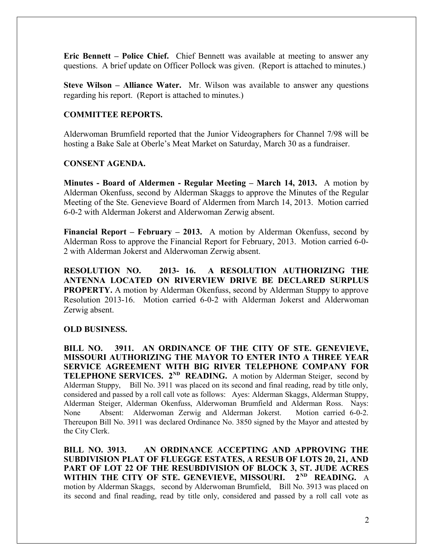**Eric Bennett – Police Chief.** Chief Bennett was available at meeting to answer any questions. A brief update on Officer Pollock was given. (Report is attached to minutes.)

**Steve Wilson – Alliance Water.** Mr. Wilson was available to answer any questions regarding his report. (Report is attached to minutes.)

## **COMMITTEE REPORTS.**

Alderwoman Brumfield reported that the Junior Videographers for Channel 7/98 will be hosting a Bake Sale at Oberle's Meat Market on Saturday, March 30 as a fundraiser.

# **CONSENT AGENDA.**

**Minutes - Board of Aldermen - Regular Meeting – March 14, 2013.** A motion by Alderman Okenfuss, second by Alderman Skaggs to approve the Minutes of the Regular Meeting of the Ste. Genevieve Board of Aldermen from March 14, 2013. Motion carried 6-0-2 with Alderman Jokerst and Alderwoman Zerwig absent.

**Financial Report – February – 2013.** A motion by Alderman Okenfuss, second by Alderman Ross to approve the Financial Report for February, 2013. Motion carried 6-0- 2 with Alderman Jokerst and Alderwoman Zerwig absent.

**RESOLUTION NO. 2013- 16. A RESOLUTION AUTHORIZING THE ANTENNA LOCATED ON RIVERVIEW DRIVE BE DECLARED SURPLUS PROPERTY.** A motion by Alderman Okenfuss, second by Alderman Stuppy to approve Resolution 2013-16. Motion carried 6-0-2 with Alderman Jokerst and Alderwoman Zerwig absent.

#### **OLD BUSINESS.**

**BILL NO. 3911. AN ORDINANCE OF THE CITY OF STE. GENEVIEVE, MISSOURI AUTHORIZING THE MAYOR TO ENTER INTO A THREE YEAR SERVICE AGREEMENT WITH BIG RIVER TELEPHONE COMPANY FOR TELEPHONE SERVICES.** 2<sup>ND</sup> **READING.** A motion by Alderman Steiger, second by Alderman Stuppy, Bill No. 3911 was placed on its second and final reading, read by title only, considered and passed by a roll call vote as follows: Ayes: Alderman Skaggs, Alderman Stuppy, Alderman Steiger, Alderman Okenfuss, Alderwoman Brumfield and Alderman Ross. Nays: None Absent: Alderwoman Zerwig and Alderman Jokerst. Motion carried 6-0-2. Thereupon Bill No. 3911 was declared Ordinance No. 3850 signed by the Mayor and attested by the City Clerk.

**BILL NO. 3913. AN ORDINANCE ACCEPTING AND APPROVING THE SUBDIVISION PLAT OF FLUEGGE ESTATES, A RESUB OF LOTS 20, 21, AND PART OF LOT 22 OF THE RESUBDIVISION OF BLOCK 3, ST. JUDE ACRES WITHIN THE CITY OF STE. GENEVIEVE, MISSOURI. 2ND READING.** A motion by Alderman Skaggs, second by Alderwoman Brumfield, Bill No. 3913 was placed on its second and final reading, read by title only, considered and passed by a roll call vote as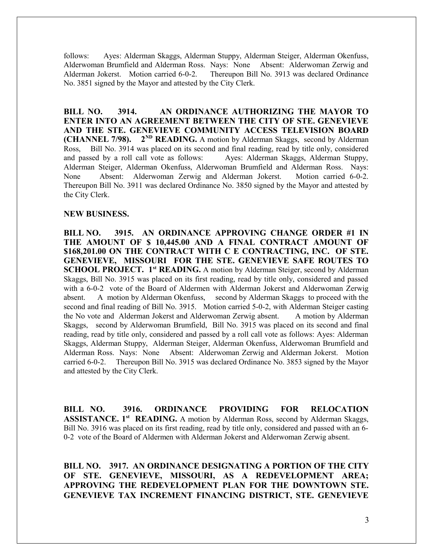follows: Ayes: Alderman Skaggs, Alderman Stuppy, Alderman Steiger, Alderman Okenfuss, Alderwoman Brumfield and Alderman Ross. Nays: None Absent: Alderwoman Zerwig and Alderman Jokerst. Motion carried 6-0-2. Thereupon Bill No. 3913 was declared Ordinance No. 3851 signed by the Mayor and attested by the City Clerk.

**BILL NO. 3914. AN ORDINANCE AUTHORIZING THE MAYOR TO ENTER INTO AN AGREEMENT BETWEEN THE CITY OF STE. GENEVIEVE AND THE STE. GENEVIEVE COMMUNITY ACCESS TELEVISION BOARD (CHANNEL 7/98).** 2<sup>ND</sup> **READING.** A motion by Alderman Skaggs, second by Alderman Ross, Bill No. 3914 was placed on its second and final reading, read by title only, considered and passed by a roll call vote as follows: Ayes: Alderman Skaggs, Alderman Stuppy, Alderman Steiger, Alderman Okenfuss, Alderwoman Brumfield and Alderman Ross. Nays: None Absent: Alderwoman Zerwig and Alderman Jokerst. Motion carried 6-0-2. Thereupon Bill No. 3911 was declared Ordinance No. 3850 signed by the Mayor and attested by the City Clerk.

## **NEW BUSINESS.**

**BILL NO. 3915. AN ORDINANCE APPROVING CHANGE ORDER #1 IN THE AMOUNT OF \$ 10,445.00 AND A FINAL CONTRACT AMOUNT OF \$168,201.00 ON THE CONTRACT WITH C E CONTRACTING, INC. OF STE. GENEVIEVE, MISSOURI FOR THE STE. GENEVIEVE SAFE ROUTES TO SCHOOL PROJECT. 1<sup>st</sup> READING.** A motion by Alderman Steiger, second by Alderman Skaggs, Bill No. 3915 was placed on its first reading, read by title only, considered and passed with a 6-0-2 vote of the Board of Aldermen with Alderman Jokerst and Alderwoman Zerwig absent. A motion by Alderman Okenfuss, second by Alderman Skaggs to proceed with the second and final reading of Bill No. 3915. Motion carried 5-0-2, with Alderman Steiger casting the No vote and Alderman Jokerst and Alderwoman Zerwig absent. A motion by Alderman Skaggs, second by Alderwoman Brumfield, Bill No. 3915 was placed on its second and final reading, read by title only, considered and passed by a roll call vote as follows: Ayes: Alderman Skaggs, Alderman Stuppy, Alderman Steiger, Alderman Okenfuss, Alderwoman Brumfield and Alderman Ross. Nays: None Absent: Alderwoman Zerwig and Alderman Jokerst. Motion carried 6-0-2. Thereupon Bill No. 3915 was declared Ordinance No. 3853 signed by the Mayor and attested by the City Clerk.

**BILL NO. 3916. ORDINANCE PROVIDING FOR RELOCATION ASSISTANCE. 1st READING.** A motion by Alderman Ross, second by Alderman Skaggs, Bill No. 3916 was placed on its first reading, read by title only, considered and passed with an 6- 0-2 vote of the Board of Aldermen with Alderman Jokerst and Alderwoman Zerwig absent.

**BILL NO. 3917. AN ORDINANCE DESIGNATING A PORTION OF THE CITY OF STE. GENEVIEVE, MISSOURI, AS A REDEVELOPMENT AREA; APPROVING THE REDEVELOPMENT PLAN FOR THE DOWNTOWN STE. GENEVIEVE TAX INCREMENT FINANCING DISTRICT, STE. GENEVIEVE**